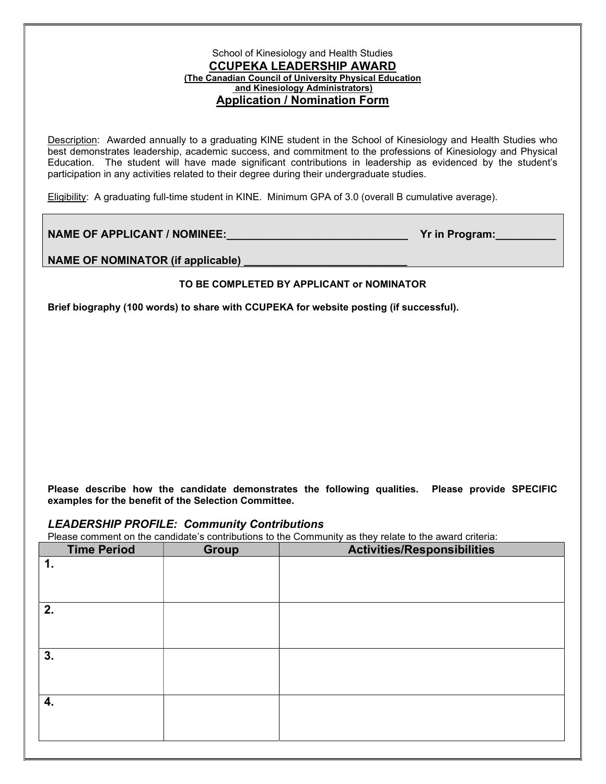## School of Kinesiology and Health Studies CCUPEKA LEADERSHIP AWARD (The Canadian Council of University Physical Education and Kinesiology Administrators) Application / Nomination Form

Description: Awarded annually to a graduating KINE student in the School of Kinesiology and Health Studies who best demonstrates leadership, academic success, and commitment to the professions of Kinesiology and Physical Education. The student will have made significant contributions in leadership as evidenced by the student's participation in any activities related to their degree during their undergraduate studies.

Eligibility: A graduating full-time student in KINE. Minimum GPA of 3.0 (overall B cumulative average).

NAME OF APPLICANT / NOMINEE: We have a set of the contract of the Program:

NAME OF NOMINATOR (if applicable) \_\_\_\_\_\_\_\_\_\_\_\_\_\_\_\_\_\_\_\_\_\_\_\_\_\_\_

## TO BE COMPLETED BY APPLICANT or NOMINATOR

Brief biography (100 words) to share with CCUPEKA for website posting (if successful).

Please describe how the candidate demonstrates the following qualities. Please provide SPECIFIC examples for the benefit of the Selection Committee.

## LEADERSHIP PROFILE: Community Contributions

Please comment on the candidate's contributions to the Community as they relate to the award criteria:

| <b>Time Period</b> | <b>Group</b> | <b>Activities/Responsibilities</b> |
|--------------------|--------------|------------------------------------|
| 1.                 |              |                                    |
|                    |              |                                    |
| 2.                 |              |                                    |
|                    |              |                                    |
| 3.                 |              |                                    |
|                    |              |                                    |
| 4.                 |              |                                    |
|                    |              |                                    |
|                    |              |                                    |